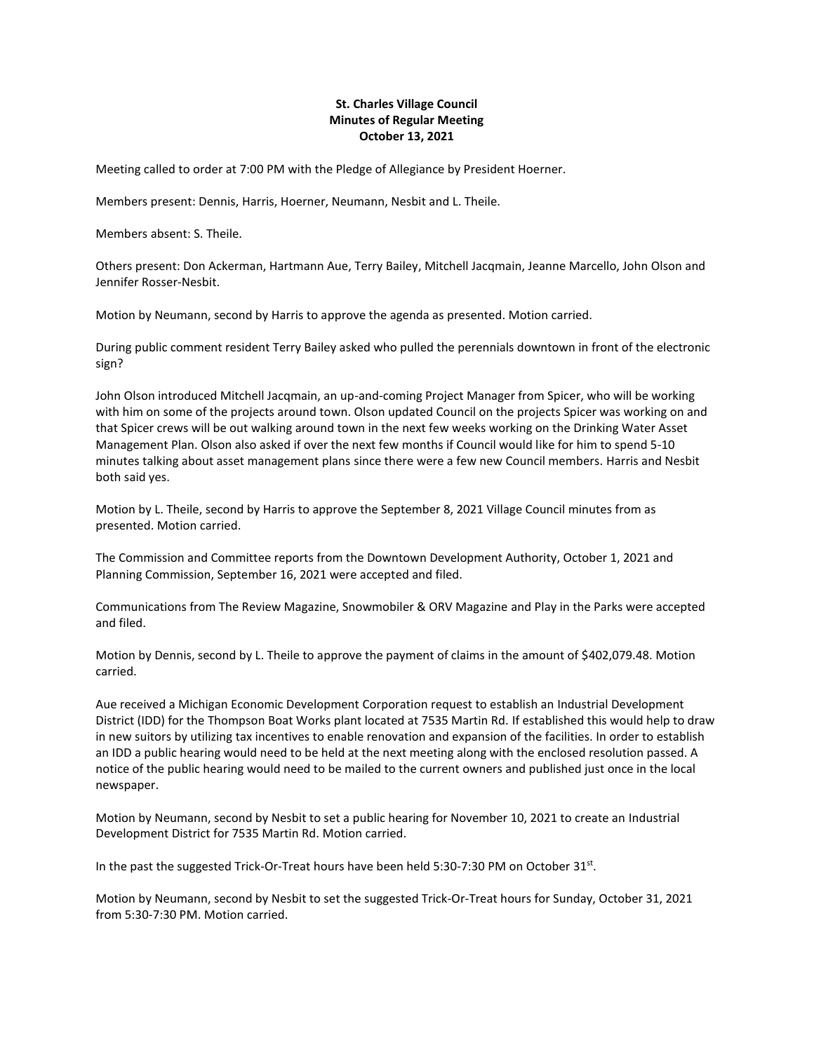## **St. Charles Village Council Minutes of Regular Meeting October 13, 2021**

Meeting called to order at 7:00 PM with the Pledge of Allegiance by President Hoerner.

Members present: Dennis, Harris, Hoerner, Neumann, Nesbit and L. Theile.

Members absent: S. Theile.

Others present: Don Ackerman, Hartmann Aue, Terry Bailey, Mitchell Jacqmain, Jeanne Marcello, John Olson and Jennifer Rosser-Nesbit.

Motion by Neumann, second by Harris to approve the agenda as presented. Motion carried.

During public comment resident Terry Bailey asked who pulled the perennials downtown in front of the electronic sign?

John Olson introduced Mitchell Jacqmain, an up-and-coming Project Manager from Spicer, who will be working with him on some of the projects around town. Olson updated Council on the projects Spicer was working on and that Spicer crews will be out walking around town in the next few weeks working on the Drinking Water Asset Management Plan. Olson also asked if over the next few months if Council would like for him to spend 5-10 minutes talking about asset management plans since there were a few new Council members. Harris and Nesbit both said yes.

Motion by L. Theile, second by Harris to approve the September 8, 2021 Village Council minutes from as presented. Motion carried.

The Commission and Committee reports from the Downtown Development Authority, October 1, 2021 and Planning Commission, September 16, 2021 were accepted and filed.

Communications from The Review Magazine, Snowmobiler & ORV Magazine and Play in the Parks were accepted and filed.

Motion by Dennis, second by L. Theile to approve the payment of claims in the amount of \$402,079.48. Motion carried.

Aue received a Michigan Economic Development Corporation request to establish an Industrial Development District (IDD) for the Thompson Boat Works plant located at 7535 Martin Rd. If established this would help to draw in new suitors by utilizing tax incentives to enable renovation and expansion of the facilities. In order to establish an IDD a public hearing would need to be held at the next meeting along with the enclosed resolution passed. A notice of the public hearing would need to be mailed to the current owners and published just once in the local newspaper.

Motion by Neumann, second by Nesbit to set a public hearing for November 10, 2021 to create an Industrial Development District for 7535 Martin Rd. Motion carried.

In the past the suggested Trick-Or-Treat hours have been held 5:30-7:30 PM on October 31st.

Motion by Neumann, second by Nesbit to set the suggested Trick-Or-Treat hours for Sunday, October 31, 2021 from 5:30-7:30 PM. Motion carried.